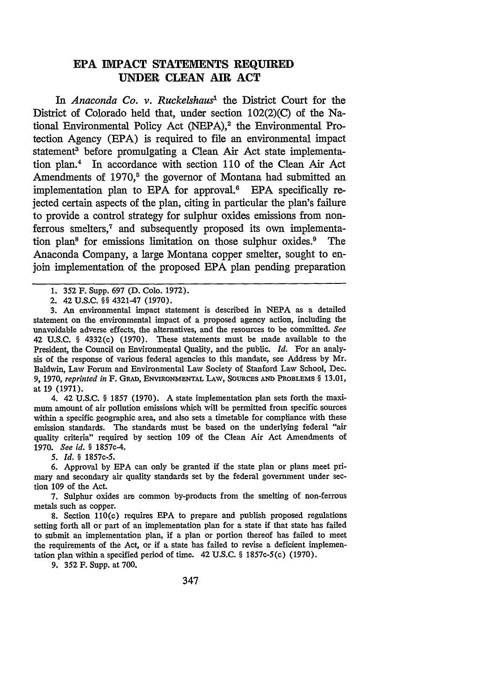## **EPA IMPACT STATEMENTS REQUIRED UNDER CLEAN AIR ACT**

In *Anaconda Co. v. Ruckelshaus*<sup>1</sup> the District Court for the District of Colorado held that, under section 102(2)(C) of the National Environmental Policy Act (NEPA),<sup>2</sup> the Environmental Protection Agency (EPA) is required to file an environmental impact statement<sup>3</sup> before promulgating a Clean Air Act state implementation plan.4 In accordance with section 110 of the Clean Air Act Amendments of **1970,5** the governor of Montana had submitted an implementation plan to EPA for approval.<sup>6</sup> EPA specifically rejected certain aspects of the plan, citing in particular the plan's failure to provide a control strategy for sulphur oxides emissions from nonferrous smelters,<sup>7</sup> and subsequently proposed its own implementation plan<sup>8</sup> for emissions limitation on those sulphur oxides.<sup>9</sup> The Anaconda Company, a large Montana copper smelter, sought to enjoin implementation of the proposed **EPA** plan pending preparation

1. **352** F. Supp. 697 (D. Colo. 1972).

2. 42 U.S.C. §§ 4321-47 (1970).

3. An environmental impact statement is described in **NEPA** as a detailed statement on the environmental impact of a proposed agency action, including the unavoidable adverse effects, the alternatives, and the resources to be committed. *See* 42 U.S.C. § 4332(c) (1970). These statements must be made available to the President, the Council on Environmental Quality, and the public. *Id.* For an analysis of the response of various federal agencies to this mandate, see Address by Mr. Baldwin, Law Forum and Environmental Law Society of Stanford Law School, Dec. *9,* 1970, *reprinted in* F. **GRAD,** ENVIRONMENTAL LAw, SoURcEs AND PROBLEMS § 13.01, at 19 (1971).

4. 42 U.S.C. § 1857 (1970). A state implementation plan sets forth the maximum amount of air pollution emissions which will be permitted from specific sources within a specific geographic area, and also sets a timetable for compliance with these emission standards. The standards must be based on the underlying federal "air quality criteria" required by section 109 of the Clean Air Act Amendments of 1970. *See id. §* 1857c-4.

*5. Id. §* 1857c-5.

6. Approval by **EPA** can only be granted if the state plan or plans meet primary and secondary air quality standards set by the federal government under section **109** of the Act.

7. Sulphur oxides are common by-products from the smelting of non-ferrous metals such as copper.

8. Section 110(c) requires **EPA** to prepare and publish proposed regulations setting forth all or part of an implementation plan for a state if that state has failed to submit an implementation plan, if a plan or portion thereof has failed to meet the requirements of the Act, or if a state has failed to revise a deficient implementation plan within a specified period of time. 42 U.S.C. § 1857c-5(c) (1970).

**9.** 352 F. Supp. at 700.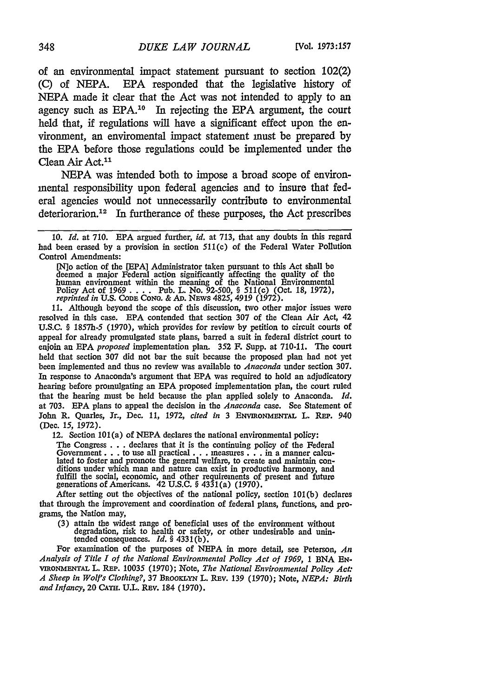of an environmental impact statement pursuant to section 102(2) (C) of NEPA. EPA responded that the legislative history of NEPA made it clear that the Act was not intended to apply to an agency such as EPA.10 In rejecting the EPA argument, the court held that, if regulations will have a significant effect upon the environment, an enviromental impact statement must be prepared by the EPA before those regulations could be implemented under the Clean Air Act.<sup>11</sup>

NEPA was intended both to impose a broad scope of environmental responsibility upon federal agencies and to insure that federal agencies would not unnecessarily contribute to environmental deteriorarion.<sup>12</sup> In furtherance of these purposes, the Act prescribes

[No action of the [EPA] Administrator taken pursuant to this Act shall be deemed a major Federal action significantly affecting the quality of the human environment within the meaning of the National Énvironmental Policy Act of 1969 . . . . Pub. L. No. 92-500, § 511(c) (Oct. 18, 1972), reprinted in U.S. Cope Cono. & Ap. News 4825, 4919 (1972).

11. Although beyond the scope of this discussion, two other major issues were resolved in this case. EPA contended that section 307 of the Clean Air Act, 42 U.S.C. § 1857h-5 (1970), which provides for review by petition to circuit courts **of** appeal for already promulgated state plans, barred a suit in federal district court to enjoin an EPA *proposed* implementation plan. 352 F. Supp. at 710-11. *The* court held that section 307 did not bar the suit because the proposed plan had not yet been implemented and thus no review was available to *Anaconda* under section 307. In response to Anaconda's argument that EPA was required to hold an adjudicatory hearing before promulgating an EPA proposed implementation plan, the court ruled that the hearing must be held because the plan applied solely to Anaconda. *Id.* at 703. EPA plans to appeal the decision in the *Anaconda* case. See Statement of John R. Quarles, Jr., Dec. 11, 1972, *cited in* 3 ENVIRONMENTAL L. REP. 940 (Dec. 15, 1972).

12. Section  $101(a)$  of NEPA declares the national environmental policy:

The Congress . . . declares that it is the continuing policy of the Federal Government.. . to use all practical... measures... m a manner calculated to foster and promote the general welfare, to create and maintain con- ditions under which man and nature can exist in productive harmony, and fulfill the social, economic, and other requirements of present and future generations of Americans. 42 U.S.C. § 4331 (a) (1970).

After setting out the objectives of the national policy, section 101(b) declares that through the improvement and coordination of federal plans, functions, and programs, the Nation may,

(3) attain the widest range of beneficial uses of the environment without degradation, risk to health or safety, or other undesirable and unin-tended consequences. *Id. §* 4331(b).

For examination of the purposes of NEPA in more detail, see Peterson, *An Analysis of Title I of the National Environmental Policy Act of 1969,* 1 BNA EN-**ViRONMENTAL** L. RaP. 10035 (1970); Note, *The National Environmental Policy Act: A Sheep in Wolf's Clothing?,* 37 BRoorKLN L. Rav. 139 (1970); Note, *NEPA: Birth* and Infancy, 20 CATH. U.L. REV. 184 (1970).

<sup>10.</sup> *Id.* at 710. EPA argued further, *id.* at 713, that any doubts in this regard had been erased by a provision in section 511(c) of the Federal Water Pollution Control Amendments: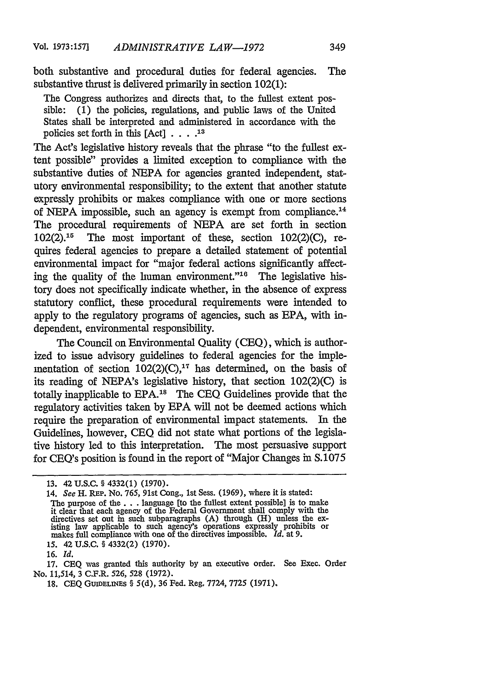both substantive and procedural duties for federal agencies. The substantive thrust is delivered primarily in section 102(1):

The Congress authorizes and directs that, to the fullest extent possible: (1) the policies, regulations, and public laws of the United States shall be interpreted and administered in accordance with the policies set forth in this [Act] **.... 13**

The Act's legislative history reveals that the phrase "to the fullest extent possible" provides a limited exception to compliance with the substantive duties of NEPA for agencies granted independent, statutory environmental responsibility; to the extent that another statute expressly prohibits or makes compliance with one or more sections of NEPA impossible, such an agency is exempt from compliance.<sup>14</sup> The procedural requirements of NEPA are set forth in section  $102(2)$ .<sup>15</sup> The most important of these, section  $102(2)(C)$ , requires federal agencies to prepare a detailed statement of potential environmental impact for "major federal actions significantly affecting the quality of the human environment." $16$  The legislative history does not specifically indicate whether, in the absence of express statutory conflict, these procedural requirements were intended to apply to the regulatory programs of agencies, such as EPA, with independent, environmental responsibility.

The Council on Environmental Quality (CEQ), which is authorized to issue advisory guidelines to federal agencies for the implementation of section  $102(2)(C)$ ,<sup>17</sup> has determined, on the basis of its reading of NEPA's legislative history, that section 102(2)(C) is totally inapplicable to EPA.<sup>18</sup> The CEQ Guidelines provide that the regulatory activities taken by EPA will not be deemed actions which require the preparation of environmental impact statements. In the Guidelines, however, CEQ did not state what portions of the legislative history led to this interpretation. The most persuasive support for CEQ's position is found in the report of "Major Changes in S.1075

17. **CEQ** was granted this authority by an executive order. See Exec. Order No. 11,514, 3 C.F.R. 526, 528 (1972).

<sup>13. 42</sup> U.S.C. **§** 4332(l) (1970).

<sup>14.</sup> *See* H. REP. No. **765,** 91st Cong., 1st Sess. (1969), where it is stated: The purpose of the. **. .** language [to the fullest extent possible] is to make it clear that each agency of the Federal Government shall comply with the directives set out in such subparagraphs  $(A)$  through  $(H)$  unless the existing law applicable to such agency's operations expressly prohibits or makes full compliance with one of the directives impossible. *Id.* at 9. **15.** 42 **U.S.C.** § 4332(2) (1970).

**<sup>16.</sup>** *Id.*

<sup>18.</sup> **CEQ GUrmELrEs** § 5(d), **36** Fed. Reg, 7724, 7725 (1971).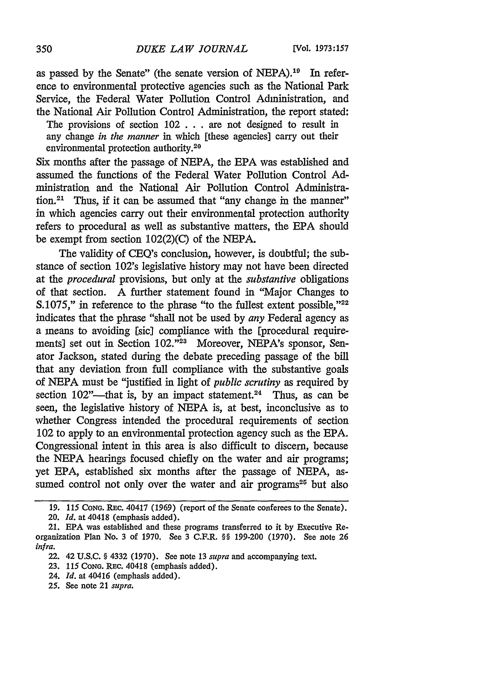as passed by the Senate" (the senate version of NEPA).<sup>10</sup> In reference to environmental protective agencies such as the National Park Service, the Federal Water Pollution Control Administration, and the National Air Pollution Control Administration, the report stated:

The provisions of section  $102$ ... are not designed to result in any change *in the manner* in which [these agencies] carry out their environmental protection authority.<sup>20</sup>

Six months after the passage of NEPA, the EPA was established and ministration and the National Air Pollution Control Administration.<sup>21</sup> Thus, if it can be assumed that "any change in the manner" in which agencies carry out their environmental protection authority refers to procedural as well as substantive matters, the EPA should be exempt from section 102(2)(C) of the NEPA.

The validity of CEQ's conclusion, however, is doubtful; the substance of section 102's legislative history may not have been directed at the *procedural* provisions, but only at the *substantive* obligations of that section. A further statement found in "Major Changes to S.1075," in reference to the phrase "to the fullest extent possible,"<sup>22</sup> indicates that the phrase "shall not be used by *any* Federal agency as a means to avoiding [sic] compliance with the [procedural requirements] set out in Section 102."<sup>23</sup> Moreover, NEPA's sponsor, Senator Jackson, stated during the debate preceding passage of the bill that any deviation from full compliance with the substantive goals of NEPA must be "justified in light of *public scrutiny* as required by section 102"----that is, by an impact statement.<sup>24</sup> Thus, as can be seen, the legislative history of NEPA is, at best, inconclusive as to whether Congress intended the procedural requirements of section 102 to apply to an environmental protection agency such as the EPA. Congressional intent in this area is also difficult to discern, because the NEPA hearings focused chiefly on the water and air programs; yet EPA, established six months after the passage of NEPA, assumed control not only over the water and air programs<sup>25</sup> but also

**25.** See note 21 *supra.*

<sup>19. 115</sup> **CoNG.** REc. 40417 (1969) (report of the Senate conferees to the Senate).

<sup>20.</sup> *Id.* at 40418 (emphasis added).

<sup>21.</sup> **EPA** was established and these programs transferred to it by Executive Reorganization Plan No. 3 of 1970. See 3 C.F.R. §§ 199-200 (1970). See note 26 *infra.*

<sup>22. 42</sup> **U.S.C.** § 4332 **(1970).** See note **13** *supra* and accompanying text.

**<sup>23. 115</sup> CONG.** REc. 40418 (emphasis added).

<sup>24.</sup> *Id.* at 40416 (emphasis added).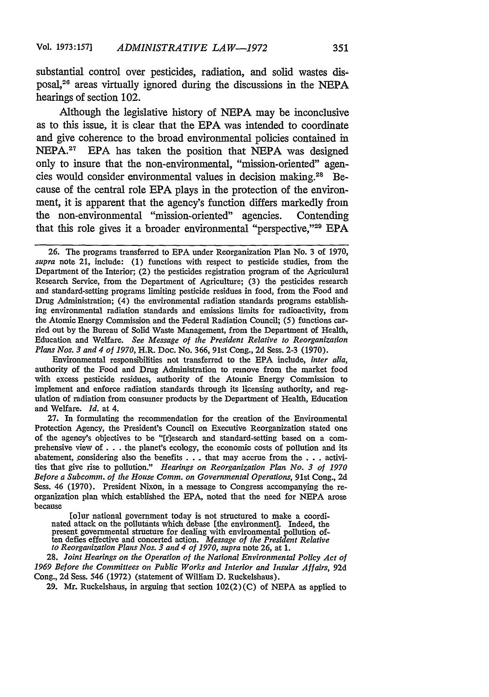substantial control over pesticides, radiation, and solid wastes disposal, 26 areas virtually ignored during the discussions in the NEPA hearings of section 102.

Although the legislative history of NEPA may be inconclusive as to this issue, it is clear that the EPA was intended to coordinate and give coherence to the broad environmental policies contained in NEPA.<sup>27</sup> EPA has taken the position that NEPA was designed only to insure that the non-environmental, "mission-oriented" agencies would consider environmental values in decision making.<sup>28</sup> Because of the central role EPA plays in the protection of the environment, it is apparent that the agency's function differs markedly from the non-environmental "mission-oriented" agencies. Contending that this role gives it a broader environmental "perspective," $29$  EPA

Environmental responsibilities not transferred to the EPA include, *inter alia,* authority of the Food and Drug Administration to remove from the market food with excess pesticide residues, authority of the Atomic Energy Commission to implement and enforce radiation standards through its licensing authority, and regulation of radiation from consumer products by the Department of Health, Education and Welfare. *Id.* at 4.

**27.** In formulating the recommendation for the creation of the Environmental Protection Agency, the President's Council on Executive Reorganization stated one of the agency's objectives to be "[r]esearch and standard-setting based on a com- prehensive view **of. .** .the planet's ecology, the economic costs of pollution and its abatement, considering also the benefits . .. that may accrue from the. **. .** activities that give rise to pollution." *Hearings on Reorganization Plan No. 3 of 1970 Before a Subcomm. of the House Comm. on Governmental Operations,* 91st Cong., 2d Sess. 46 (1970). President Nixon, in a message to Congress accompanying the reorganization plan which established the EPA, noted that the need for NEPA arose because

[olur national government today is not structured to make a coordinated attack on the pollutants which debase [the environment]. Indeed, the present governmental structure for dealing with environmental pollution of-<br>ten defies effective and concerted action. *Message of the President Re* 

28. *Joint Hearings on the Operation of the National Environmental Policy Act of 1969 Before the Committees on Public Works and Interior and Insular Affairs,* 92d Cong., 2d Sess. 546 (1972) (statement of William D. Ruckelshaus).

29. Mr. Ruckelshaus, in arguing that section 102(2) (C) of NEPA as applied to

<sup>26.</sup> The programs transferred to EPA under Reorganization Plan No. 3 of 1970, *supra* note 21, include: (1) functions with respect to pesticide studies, from the Department of the Interior; (2) the pesticides registration program of the Agriculural Research Service, from the Department of Agriculture; (3) the pesticides research and standard-setting programs limiting pesticide residues in food, from the Food and Drug Administration; (4) the environmental radiation standards programs establishing environmental radiation standards and emissions limits for radioactivity, from the Atomic Energy Commission and the Federal Radiation Council; (5) functions carried out by the Bureau of Solid Waste Management, from the Department of Health, Education and Welfare. *See Message of the President Relative to Reorganization Plans Nos.* **3** and *4 of 1970,* H.R. Doc. No. 366, 91st Cong., 2d Sess. **2-3** (1970).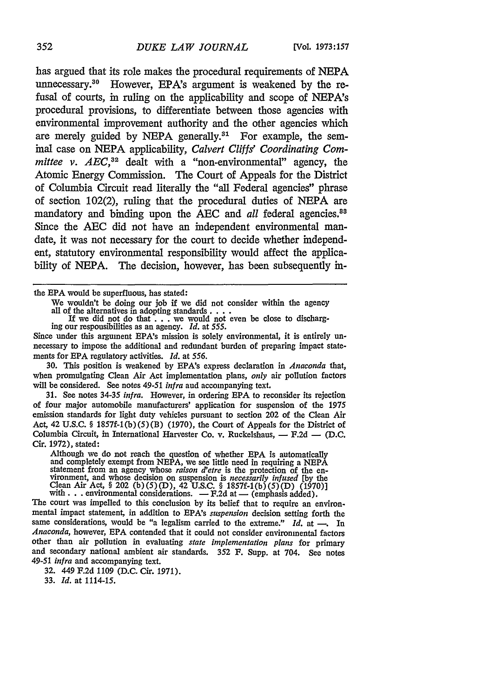has argued that its role makes the procedural requirements of **NEPA** unnecessary.<sup>30</sup> However, EPA's argument is weakened by the refusal of courts, in ruling on the applicability and scope of NEPA's procedural provisions, to differentiate between those agencies with environmental improvement authority and the other agencies which are merely guided by NEPA generally.<sup>31</sup> For example, the seminal case on NEPA applicability, *Calvert Cliffs' Coordinating Committee v. AEC,32* dealt with a "non-environmental" agency, the Atomic Energy Commission. The Court of Appeals for the District of Columbia Circuit read literally the "all Federal agencies" phrase of section 102(2), ruling that the procedural duties of NEPA are mandatory and binding upon the AEC and *all* federal agencies.<sup>88</sup> Since the AEC did not have an independent environmental mandate, it was not necessary for the court to decide whether independent, statutory environmental responsibility would affect the applicability of NEPA. The decision, however, has been subsequently in-

the EPA would be superfluous, has stated:

We wouldn't be doing our job if we did not consider within the agency<br>all of the alternatives in adopting standards . . . . If we did not do that . . . we would not even be close to discharg-<br>ing our responsibilities as a

Since under this argument EPA's mission is solely environmental, it is entirely un- necessary to impose the additional and redundant burden of preparing impact statements for **EPA** regulatory activities. *Id.* at *556.*

30. This position is weakened by EPA's express declaration in *Anaconda* that, when promulgating Clean Air Act implementation plans, *only* air pollution factors will be considered. See notes 49-51 *infra* and accompanying text.

31. See notes 34-35 *infra.* However, in ordering **EPA** to reconsider its rejection of four major automobile manufacturers' application for suspension of the 1975 emission standards for light duty vehicles pursuant to section 202 of the Clean Air Act, 42 U.S.C. § 1857f-1(b)(5)(B) (1970), the Court of Appeals for the District of Columbia Circuit, in International Harvester Co. v. Ruckelshaus, **-** F.2d **- (D.C.** Cir. 1972), stated:

Although we do not reach the question of whether EPA is automatically and completely exempt from NEPA, we see little need in requiring a **NEPA** statement from an agency whose *raison d'etre* is the protection of the en- vironment, and whose decision on suspension is *necessarily infused* **[by** the Clean Air Act, § 202 (b)(5)(D), 42 **U.S.C.** § 1857f-(b) **(5)** (D) (1970)] with. **. .** environmental considerations. **-** F.2d at **-** (emphasis added).

The court was impelled to this conclusion by its belief that to require an environmental impact statement, in addition to EPA's *suspension* decision setting forth the same considerations, would be "a legalism carried to the extreme." *Id.* at **-.** In *Anaconda,* however, **EPA** contended that it could not consider environmental factors other than air pollution in evaluating *state implementation plans* for primary and secondary national ambient air standards. 352 F. Supp. at 704. See notes *49-51 infra* and accompanying text.

32. 449 F.2d 1109 (D.C. Cir. 1971).

33. *Id.* at 1114-15.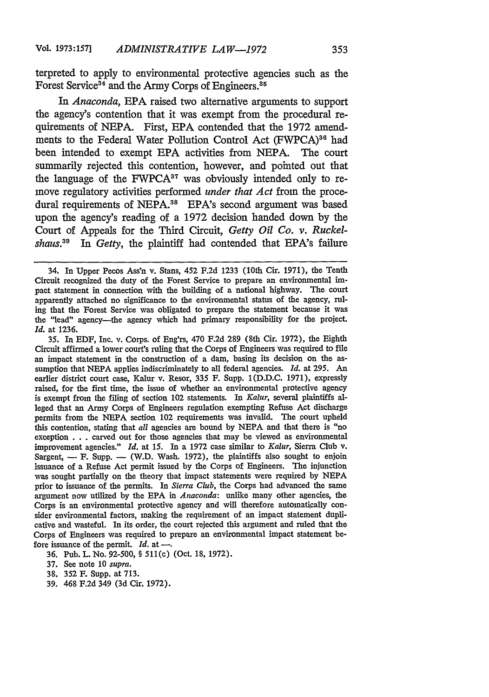terpreted to apply to environmental protective agencies such as the Forest Service<sup>34</sup> and the Army Corps of Engineers.<sup>35</sup>

*In Anaconda,* EPA raised two alternative arguments to support the agency's contention that it was exempt from the procedural requirements of NEPA. First, EPA contended that the 1972 amendments to the Federal Water Pollution Control Act (FWPCA)<sup>36</sup> had been intended to exempt EPA activities from NEPA. The court summarily rejected this contention, however, and pointed out that the language of the FWPCA<sup>37</sup> was obviously intended only to remove regulatory activities performed *under that Act* from the procedural requirements of NEPA.<sup>38</sup> EPA's second argument was based upon the agency's reading of a 1972 decision handed down by the Court of Appeals for the Third Circuit, *Getty Oil Co. v. Ruckelshauss9 In Getty,* the plaintiff had contended that EPA's failure

35. In EDF, Inc. v. Corps. of Eng'rs, 470 F.2d 289 (8th Cir. 1972), the Eighth Circuit affirmed a lower court's ruling that the Corps of Engineers was required to file an impact statement in the construction of a dam, basing its decision on the assumption that NEPA applies indiscriminately to all federal agencies. *Id.* at 295. An earlier district court case, Kalur v. Resor, 335 F. Supp. 1(D.D.C. 1971), expressly raised, for the first time, the issue of whether an environmental protective agency is exempt from the filing of section 102 statements. In *Kalur,* several plaintiffs alleged that an Army Corps of Engineers regulation exempting Refuse Act discharge permits from the NEPA section 102 requirements was invalid. The court upheld this contention, stating that *all* agencies are bound by NEPA and that there is "no exception . . . carved out for those agencies that may be viewed as environmental improvement agencies." *Id.* at 15. In a 1972 case similar to *Kalur,* Sierra Club v. Sargent,  $-$  F. Supp.  $-$  (W.D. Wash. 1972), the plaintiffs also sought to enjoin issuance of a Refuse Act permit issued by the Corps of Engineers. The injunction was sought partially on the theory that impact statements were required by NEPA prior to issuance of the permits. In *Sierra Club,* the Corps had advanced the same argument now utilized by the EPA in *Anaconda:* unlike many other agencies, the Corps is an environmental protective agency and will therefore automatically consider environmental factors, making the requirement of an impact statement duplicative and wasteful. In its order, the court rejected this argument and ruled that the Corps of Engineers was required to prepare an environmental impact statement before issuance of the permit. *Id.* at --

36. Pub. L. No. 92-500, § 511(c) (Oct. 18, 1972).

- 37. See note 10 *supra.*
- 38. 352 F. Supp. at 713.
- 39. 468 F.2d 349 (3d Cir. 1972).

<sup>34.</sup> In Upper Pecos Ass'n v. Stans, 452 F.2d 1233 (10th Cir. 1971), the Tenth Circuit recognized the duty of the Forest Service to prepare an environmental impact statement in connection with the building of a national highway. The court apparently attached no significance to the environmental status of the agency, ruling that the Forest Service was obligated to prepare the statement because it was the "lead" agency-the agency which had primary responsibility for the project. *Id.* at 1236.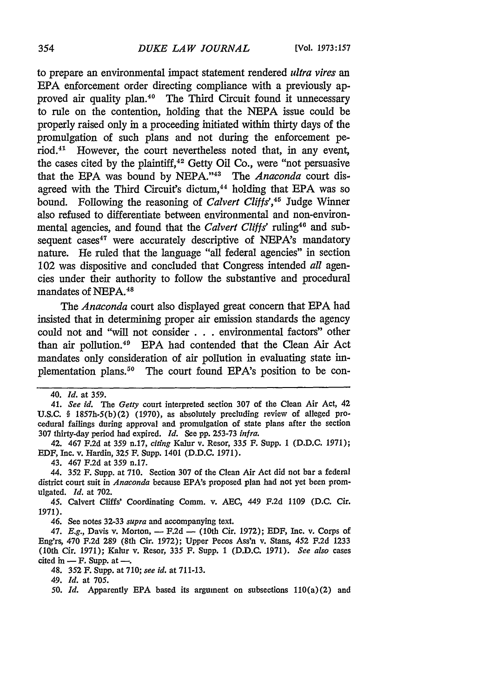to prepare an environmental impact statement rendered *ultra vires an* EPA enforcement order directing compliance with a previously approved air quality plan.<sup>40</sup> The Third Circuit found it unnecessary to rule on the contention, holding that the NEPA issue could be properly raised only in a proceeding initiated within thirty days of the promulgation of such plans and not during the enforcement period.<sup>41</sup> However, the court nevertheless noted that, in any event, the cases cited by the plaintiff, $42$  Getty Oil Co., were "not persuasive that the EPA was bound by NEPA."<sup>43</sup> The *Anaconda* court disagreed with the Third Circuit's dictum,<sup>44</sup> holding that EPA was so bound. Following the reasoning of *Calvert Cliffs'*,<sup>45</sup> Judge Winner also refused to differentiate between environmental and non-environmental agencies, and found that the *Calvert Cliffs'* ruling<sup>46</sup> and subsequent cases<sup>47</sup> were accurately descriptive of NEPA's mandatory nature. He ruled that the language "all federal agencies" in section 102 was dispositive and concluded that Congress intended *all* agencies under their authority to follow the substantive and procedural mandates of NEPA.<sup>48</sup>

The *Anaconda* court also displayed great concern that EPA had insisted that in determining proper air emission standards the agency could not and "will not consider . . . environmental factors" other than air pollution. 49 EPA had contended that the Clean Air Act mandates only consideration of air pollution in evaluating state implementation plans.<sup>50</sup> The court found EPA's position to be con-

43. 467 F.2d at 359 n.17.

44. 352 F. Supp. at 710. Section 307 of the Clean Air Act did not bar a federal district court suit in *Anaconda* because EPA's proposed plan had not yet been promulgated. *Id.* at 702.

45. Calvert Cliffs' Coordinating Comm. v. *AEC,* 449 F.2d 1109 (D.C. Cir. 1971).

46. See notes 32-33 *supra* and accompanying text.

47. *E.g.*, Davis v. Morton, -- F.2d - (10th Cir. 1972); EDF, Inc. v. Corps of Eng'rs, 470 F.2d 289 (8th Cir. 1972); Upper Pecos Ass'n v. Stans, 452 F.2d 1233 (10th Cir. 1971); Kalur v. Resor, 335 F. Supp. 1 (D.D.C. 1971). *See also* cases cited in  $-$  F. Supp. at  $-$ .

48. 352 F. Supp. at 710; *see id.* at 711-13.

49. *Id.* at 705.

*50. Id.* Apparently **EPA** based its argument on subsections 110(a)(2) and

<sup>40.</sup> *Id.* at 359.

<sup>41.</sup> See *id. The* Getty court interpreted section 307 of the Clean Air Act, 42 U.S.C. § 1857h-5(b)(2) (1970), as absolutely precluding review of alleged procedural failings during approval and promulgation of state plans after the section 307 thirty-day period had expired. *Id.* See pp. 253-73 *infra.*

<sup>42. 467</sup> F.2d at 359 n.17, *citing* Kalur v. Resor, 335 F. Supp. 1 (D.D.C. 1971); EDF, Inc. v. Hardin, 325 F. Supp. 1401 (D.D.C. 1971).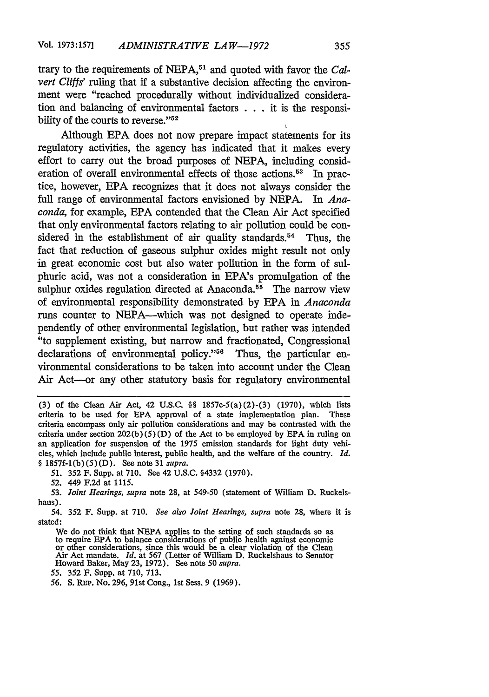trary to the requirements of NEPA,<sup>51</sup> and quoted with favor the *Calvert Cliffs'* ruling that if a substantive decision affecting the environment were "reached procedurally without individualized consideration and balancing of environmental factors . . **.** it is the responsibility of the courts to reverse."<sup>52</sup>

Although EPA does not now prepare impact statements for its regulatory activities, the agency has indicated that it makes every effort to carry out the broad purposes of NEPA, including consideration of overall environmental effects of those actions.<sup>53</sup> In practice, however, EPA recognizes that it does not always consider the full range of environmental factors envisioned by NEPA. In *Anaconda,* for example, EPA contended that the Clean Air Act specified that only environmental factors relating to air pollution could be considered in the establishment of air quality standards.<sup>54</sup> Thus, the fact that reduction of gaseous sulphur oxides might result not only in great economic cost but also water pollution in the form of sulphuric acid, was not a consideration in EPA's promulgation of the sulphur oxides regulation directed at Anaconda. $55$  The narrow view of environmental responsibility demonstrated by EPA in *Anaconda* runs counter to NEPA-which was not designed to operate independently of other environmental legislation, but rather was intended "to supplement existing, but narrow and fractionated, Congressional declarations of environmental policy."<sup>56</sup> Thus, the particular environmental considerations to be taken into account under the Clean Air Act-or any other statutory basis for regulatory environmental

*51.* 352 F. Supp. at 710. See 42 U.S.C. §4332 (1970).

52. 449 F.2d at 1115.

53. *Joint Hearings, supra* note **28,** at 549-50 (statement of William D. Ruckelshaus).

54. 352 F. Supp. at 710. *See also Joint Hearings, supra* note 28, where it is stated:

We do not think that NEPA applies to the setting of such standards so as to require EPA to balance considerations of public health against economic or other considerations, since this would be a clear violation of the Clea Air Act mandate. *Id.* at 567 (Letter of William D. Ruckelshaus to Senator Howard Baker, May 23, 1972). See note 50 *supra.*

55. 352 F. Supp. at 710, 713.

*56.* S. REP. No. 296, 91st Cong., 1st Sess. 9 (1969).

**<sup>(3)</sup>** of the Clean Air Act, 42 U.S.C. §§ 1857c-5(a)(2)-(3) (1970), which lists criteria to be used for **EPA** approval of a state implementation plan. These criteria encompass only air pollution considerations and may be contrasted with the criteria under section  $202(b)(5)(D)$  of the Act to be employed by EPA in ruling on an application for suspension of the 1975 emission standards for light duty vehicles, which include public interest, public health, and the welfare of the country. *Id.* § 1857f-1(b) (5) (D). See note **31** *supra.*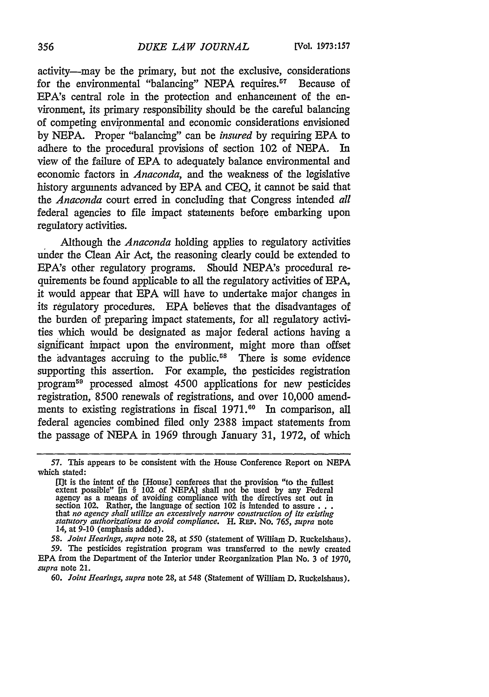activity-may be the primary, but not the exclusive, considerations for the environmental "balancing" NEPA requires.<sup>57</sup> Because of EPA's central role in the protection and enhancement of the environment, its primary responsibility should be the careful balancing of competing environmental and economic considerations envisioned by NEPA. Proper "balancing" can be *insured* by requiring **EPA** to adhere to the procedural provisions of section 102 of NEPA. In view of the failure of EPA to adequately balance environmental and economic factors in *Anaconda,* and the weakness of the legislative history arguments advanced by EPA and CEQ, it cannot be said that *the Anaconda* court erred in concluding that Congress intended *all* federal agencies to file impact statements before embarking upon regulatory activities.

Although the *Anaconda* holding applies to regulatory activities under the Clean Air Act, the reasoning clearly could be extended to EPA's other regulatory programs. Should NEPA's procedural requirements be found applicable to all the regulatory activities of EPA, it would appear that EPA will have to undertake major changes in its regulatory procedures. EPA believes that the disadvantages of the burden of preparing impact statements, for all regulatory activities which would be designated as major federal actions having a significant impact upon the environment, might more than offset the advantages accruing to the public.<sup>58</sup> There is some evidence supporting this assertion. For example, the pesticides registration program59 processed almost 4500 applications for new pesticides registration, 8500 renewals of registrations, and over 10,000 amendments to existing registrations in fiscal 1971.<sup>60</sup> In comparison, all federal agencies combined filed only 2388 impact statements from the passage of NEPA in 1969 through January 31, 1972, of which

<sup>57.</sup> This appears to be consistent with the House Conference Report on NEPA which stated:

<sup>[</sup>I]t is the intent of the [House) conferees that the provision "to the fullest extent possible" [in § 102 of NEPA] shall not be used by any Federal agency as a means of avoiding compliance with the directives set out in section 102. Rather, the language of section 102 is intended to assure... that *no* agency *shall utilize an excessively narrow construction of its existing statutory authorizations to avoid compliance.* H. **REP.** No. *765, supra* note 14, at 9-10 (emphasis added).

*<sup>58.</sup> Joint Hearings, supra* note 28, at 550 (statement of William D. Ruckelshaus). *59.* The pesticides registration program was transferred to the newly created **EPA** from the Department of the Interior under Reorganization Plan No. 3 of 1970, *supra* note 21.

<sup>60.</sup> *Joint Hearings, supra* note 28, at 548 (Statement of William D. Ruckelshaus).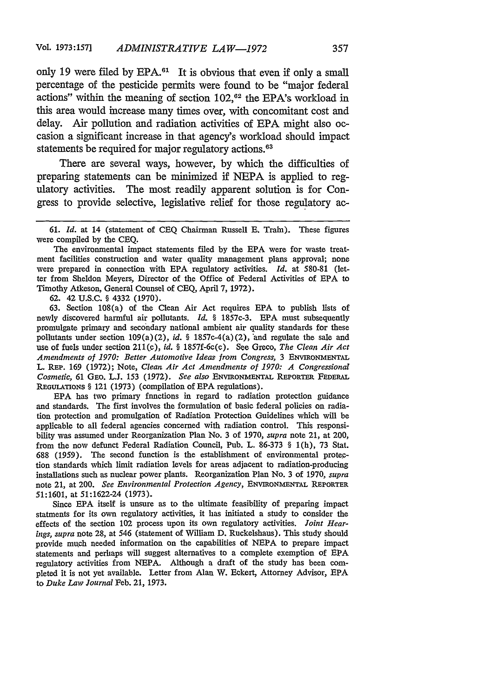only 19 were filed by  $EPA.^{61}$ . It is obvious that even if only a small percentage of the pesticide permits were found to be "major federal actions" within the meaning of section  $102$ ,<sup> $62$ </sup> the EPA's workload in this area would increase many times over, with concomitant cost and delay. Air pollution and radiation activities of EPA might also occasion a significant increase in that agency's workload should impact statements be required for major regulatory actions.<sup>63</sup>

There are several ways, however, by which the difficulties of preparing statements can be minimized if NEPA is applied to regulatory activities. The most readily apparent solution is for Congress to provide selective, legislative relief for those regulatory ac-

The environmental impact statements filed by the EPA were for waste treatment facilities construction and water quality management plans approval; none were prepared in connection with EPA regulatory activities. *Id.* at 580-81 (letter from Sheldon Meyers, Director of the Office of Federal Activities of EPA to Timothy Atkeson, General Counsel of CEQ, April 7, 1972).

62. 42 U.S.C. § 4332 (1970).

63. Section 108(a) of the Clean Air Act requires EPA to publish lists of newly discovered harmful air pollutants. *Id.* § 1857c-3. EPA must subsequently promulgate primary and secondary national ambient air quality standards for these pollutants under section  $109(a)(2)$ , *id.* § 1857c-4(a)(2), and regulate the sale and use of fuels under section 211(c), *id.* § 1857f-6c(c). See Greco, *The Clean Air Act Amendments of 1970: Better Automotive Ideas from Congress,* 3 ENVIRoNMENTAL L. REP. 169 (1972); Note, *Clean Air Act Amendments of 1970: A Congressional Cosmetic,* 61 GEo. L.J. 153 (1972). *See also* ENViRONMENTAL REPORTER **FEDERAL REGULATIONS** § 121 (1973) (compilation of EPA regulations).

EPA has two primary functions in regard to radiation protection guidance and standards. The first involves the formulation of basic federal policies on radiation protection and promulgation of Radiation Protection Guidelines which will be applicable to all federal agencies concerned with radiation control. This responsibility was assumed under Reorganization Plan No. 3 of 1970, *supra* note 21, at 200, from the now defunct Federal Radiation Council, Pub. L. 86-373 § 1(h), 73 Stat. 688 (1959). The second function is the establishment of environmental protection standards which limit radiation levels for areas adjacent to radiation-producing installations such as nuclear power plants. Reorganization Plan No. 3 of 1970, *supra* note 21, at 200. *See Environmental Protection Agency,* **ENVIRONMENTAL** REPORTER 51:1601, at 51:1622-24 (1973).

Since EPA itself is unsure as to the ultimate feasibility of preparing impact statments for its own regulatory activities, it has initiated a study to consider the effects of the section 102 process upon its own regulatory activities. *Joint Hearings, supra* note 28, at 546 (statement of William D. Ruckelshaus). This study should provide much needed information on the capabilities of NEPA to prepare impact statements and perhaps will suggest alternatives to a complete exemption of EPA regulatory activities from NEPA. Although a draft of the study has been completed it is not yet available. Letter from Alan W. Eekert, Attorney Advisor, **EPA** to *Duke Law Journal* Feb. 21, 1973.

<sup>61.</sup> *Id.* at 14 (statement of CEQ Chairman Russell **E.** Train). These figures were compiled by the CEQ.